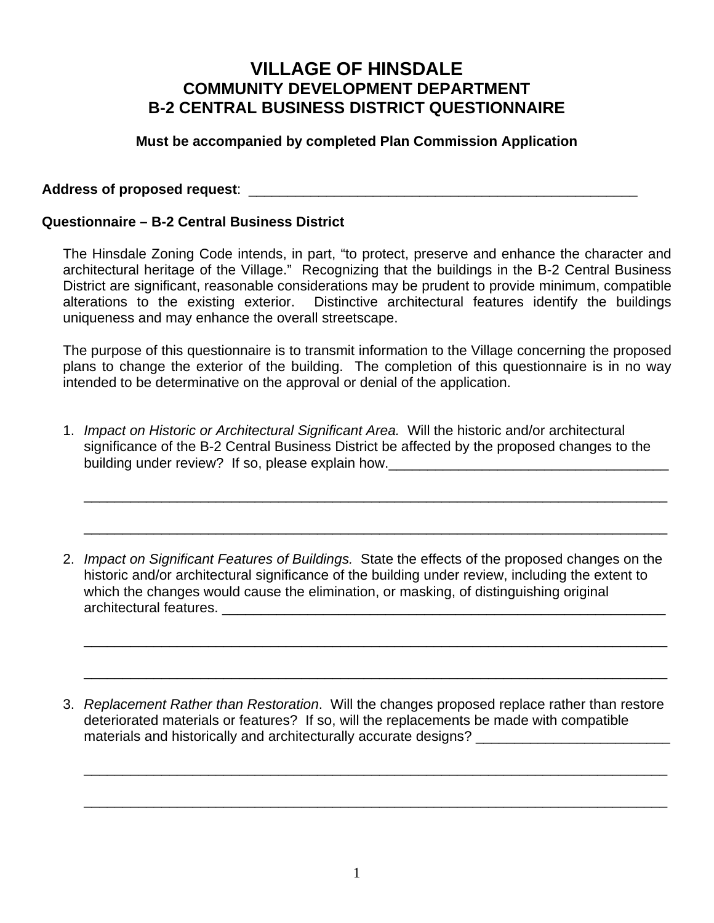## **VILLAGE OF HINSDALE COMMUNITY DEVELOPMENT DEPARTMENT B-2 CENTRAL BUSINESS DISTRICT QUESTIONNAIRE**

## **Must be accompanied by completed Plan Commission Application**

## **Address of proposed request**: \_\_\_\_\_\_\_\_\_\_\_\_\_\_\_\_\_\_\_\_\_\_\_\_\_\_\_\_\_\_\_\_\_\_\_\_\_\_\_\_\_\_\_\_\_\_\_\_\_\_

## **Questionnaire – B-2 Central Business District**

The Hinsdale Zoning Code intends, in part, "to protect, preserve and enhance the character and architectural heritage of the Village." Recognizing that the buildings in the B-2 Central Business District are significant, reasonable considerations may be prudent to provide minimum, compatible alterations to the existing exterior. Distinctive architectural features identify the buildings uniqueness and may enhance the overall streetscape.

The purpose of this questionnaire is to transmit information to the Village concerning the proposed plans to change the exterior of the building. The completion of this questionnaire is in no way intended to be determinative on the approval or denial of the application.

1. *Impact on Historic or Architectural Significant Area.* Will the historic and/or architectural significance of the B-2 Central Business District be affected by the proposed changes to the building under review? If so, please explain how.

\_\_\_\_\_\_\_\_\_\_\_\_\_\_\_\_\_\_\_\_\_\_\_\_\_\_\_\_\_\_\_\_\_\_\_\_\_\_\_\_\_\_\_\_\_\_\_\_\_\_\_\_\_\_\_\_\_\_\_\_\_\_\_\_\_\_\_\_\_\_\_\_\_\_\_

\_\_\_\_\_\_\_\_\_\_\_\_\_\_\_\_\_\_\_\_\_\_\_\_\_\_\_\_\_\_\_\_\_\_\_\_\_\_\_\_\_\_\_\_\_\_\_\_\_\_\_\_\_\_\_\_\_\_\_\_\_\_\_\_\_\_\_\_\_\_\_\_\_\_\_

\_\_\_\_\_\_\_\_\_\_\_\_\_\_\_\_\_\_\_\_\_\_\_\_\_\_\_\_\_\_\_\_\_\_\_\_\_\_\_\_\_\_\_\_\_\_\_\_\_\_\_\_\_\_\_\_\_\_\_\_\_\_\_\_\_\_\_\_\_\_\_\_\_\_\_

\_\_\_\_\_\_\_\_\_\_\_\_\_\_\_\_\_\_\_\_\_\_\_\_\_\_\_\_\_\_\_\_\_\_\_\_\_\_\_\_\_\_\_\_\_\_\_\_\_\_\_\_\_\_\_\_\_\_\_\_\_\_\_\_\_\_\_\_\_\_\_\_\_\_\_

\_\_\_\_\_\_\_\_\_\_\_\_\_\_\_\_\_\_\_\_\_\_\_\_\_\_\_\_\_\_\_\_\_\_\_\_\_\_\_\_\_\_\_\_\_\_\_\_\_\_\_\_\_\_\_\_\_\_\_\_\_\_\_\_\_\_\_\_\_\_\_\_\_\_\_

\_\_\_\_\_\_\_\_\_\_\_\_\_\_\_\_\_\_\_\_\_\_\_\_\_\_\_\_\_\_\_\_\_\_\_\_\_\_\_\_\_\_\_\_\_\_\_\_\_\_\_\_\_\_\_\_\_\_\_\_\_\_\_\_\_\_\_\_\_\_\_\_\_\_\_

2. *Impact on Significant Features of Buildings.* State the effects of the proposed changes on the historic and/or architectural significance of the building under review, including the extent to which the changes would cause the elimination, or masking, of distinguishing original architectural features. \_\_\_\_\_\_\_\_\_\_\_\_\_\_\_\_\_\_\_\_\_\_\_\_\_\_\_\_\_\_\_\_\_\_\_\_\_\_\_\_\_\_\_\_\_\_\_\_\_\_\_\_\_\_\_\_\_

3. *Replacement Rather than Restoration*. Will the changes proposed replace rather than restore deteriorated materials or features? If so, will the replacements be made with compatible materials and historically and architecturally accurate designs? \_\_\_\_\_\_\_\_\_\_\_\_\_\_\_\_